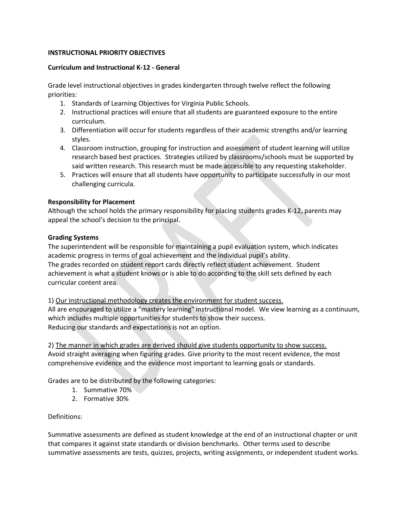# **INSTRUCTIONAL PRIORITY OBJECTIVES**

## **Curriculum and Instructional K-12 - General**

Grade level instructional objectives in grades kindergarten through twelve reflect the following priorities:

- 1. Standards of Learning Objectives for Virginia Public Schools.
- 2. Instructional practices will ensure that all students are guaranteed exposure to the entire curriculum.
- 3. Differentiation will occur for students regardless of their academic strengths and/or learning styles.
- 4. Classroom instruction, grouping for instruction and assessment of student learning will utilize research based best practices. Strategies utilized by classrooms/schools must be supported by said written research. This research must be made accessible to any requesting stakeholder.
- 5. Practices will ensure that all students have opportunity to participate successfully in our most challenging curricula.

# **Responsibility for Placement**

Although the school holds the primary responsibility for placing students grades K-12, parents may appeal the school's decision to the principal.

# **Grading Systems**

The superintendent will be responsible for maintaining a pupil evaluation system, which indicates academic progress in terms of goal achievement and the individual pupil's ability. The grades recorded on student report cards directly reflect student achievement. Student achievement is what a student knows or is able to do according to the skill sets defined by each curricular content area.

1) Our instructional methodology creates the environment for student success. All are encouraged to utilize a "mastery learning" instructional model. We view learning as a continuum, which includes multiple opportunities for students to show their success. Reducing our standards and expectations is not an option.

2) The manner in which grades are derived should give students opportunity to show success. Avoid straight averaging when figuring grades. Give priority to the most recent evidence, the most comprehensive evidence and the evidence most important to learning goals or standards.

Grades are to be distributed by the following categories:

- 1. Summative 70%
- 2. Formative 30%

## Definitions:

Summative assessments are defined as student knowledge at the end of an instructional chapter or unit that compares it against state standards or division benchmarks. Other terms used to describe summative assessments are tests, quizzes, projects, writing assignments, or independent student works.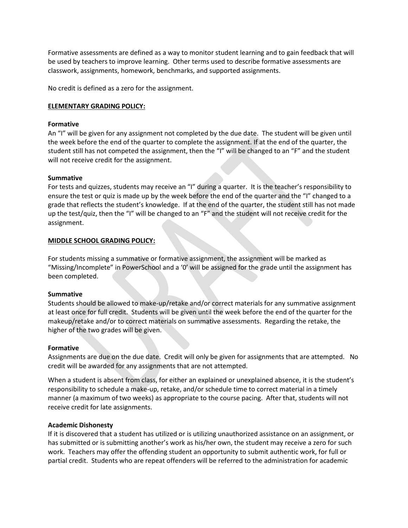Formative assessments are defined as a way to monitor student learning and to gain feedback that will be used by teachers to improve learning. Other terms used to describe formative assessments are classwork, assignments, homework, benchmarks, and supported assignments.

No credit is defined as a zero for the assignment.

### **ELEMENTARY GRADING POLICY:**

#### **Formative**

An "I" will be given for any assignment not completed by the due date. The student will be given until the week before the end of the quarter to complete the assignment. If at the end of the quarter, the student still has not competed the assignment, then the "I" will be changed to an "F" and the student will not receive credit for the assignment.

### **Summative**

For tests and quizzes, students may receive an "I" during a quarter. It is the teacher's responsibility to ensure the test or quiz is made up by the week before the end of the quarter and the "I" changed to a grade that reflects the student's knowledge. If at the end of the quarter, the student still has not made up the test/quiz, then the "I" will be changed to an "F" and the student will not receive credit for the assignment.

### **MIDDLE SCHOOL GRADING POLICY:**

For students missing a summative or formative assignment, the assignment will be marked as "Missing/Incomplete" in PowerSchool and a '0' will be assigned for the grade until the assignment has been completed.

#### **Summative**

Students should be allowed to make-up/retake and/or correct materials for any summative assignment at least once for full credit. Students will be given until the week before the end of the quarter for the makeup/retake and/or to correct materials on summative assessments. Regarding the retake, the higher of the two grades will be given.

#### **Formative**

Assignments are due on the due date. Credit will only be given for assignments that are attempted. No credit will be awarded for any assignments that are not attempted.

When a student is absent from class, for either an explained or unexplained absence, it is the student's responsibility to schedule a make-up, retake, and/or schedule time to correct material in a timely manner (a maximum of two weeks) as appropriate to the course pacing. After that, students will not receive credit for late assignments.

#### **Academic Dishonesty**

If it is discovered that a student has utilized or is utilizing unauthorized assistance on an assignment, or has submitted or is submitting another's work as his/her own, the student may receive a zero for such work. Teachers may offer the offending student an opportunity to submit authentic work, for full or partial credit. Students who are repeat offenders will be referred to the administration for academic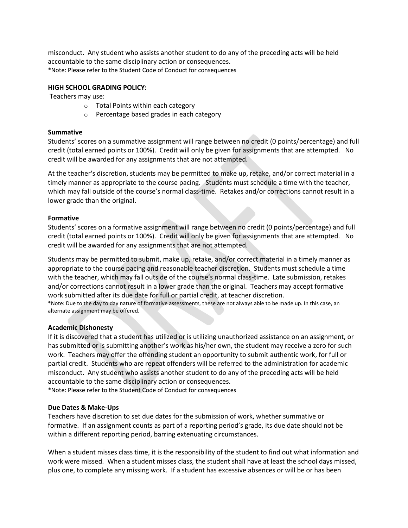misconduct. Any student who assists another student to do any of the preceding acts will be held accountable to the same disciplinary action or consequences. \*Note: Please refer to the Student Code of Conduct for consequences

### **HIGH SCHOOL GRADING POLICY:**

Teachers may use:

- o Total Points within each category
- o Percentage based grades in each category

#### **Summative**

Students' scores on a summative assignment will range between no credit (0 points/percentage) and full credit (total earned points or 100%). Credit will only be given for assignments that are attempted. No credit will be awarded for any assignments that are not attempted.

At the teacher's discretion, students may be permitted to make up, retake, and/or correct material in a timely manner as appropriate to the course pacing. Students must schedule a time with the teacher, which may fall outside of the course's normal class-time. Retakes and/or corrections cannot result in a lower grade than the original.

### **Formative**

Students' scores on a formative assignment will range between no credit (0 points/percentage) and full credit (total earned points or 100%). Credit will only be given for assignments that are attempted. No credit will be awarded for any assignments that are not attempted.

Students may be permitted to submit, make up, retake, and/or correct material in a timely manner as appropriate to the course pacing and reasonable teacher discretion. Students must schedule a time with the teacher, which may fall outside of the course's normal class-time. Late submission, retakes and/or corrections cannot result in a lower grade than the original. Teachers may accept formative work submitted after its due date for full or partial credit, at teacher discretion.

\*Note: Due to the day to day nature of formative assessments, these are not always able to be made up. In this case, an alternate assignment may be offered.

#### **Academic Dishonesty**

If it is discovered that a student has utilized or is utilizing unauthorized assistance on an assignment, or has submitted or is submitting another's work as his/her own, the student may receive a zero for such work. Teachers may offer the offending student an opportunity to submit authentic work, for full or partial credit. Students who are repeat offenders will be referred to the administration for academic misconduct. Any student who assists another student to do any of the preceding acts will be held accountable to the same disciplinary action or consequences.

\*Note: Please refer to the Student Code of Conduct for consequences

#### **Due Dates & Make-Ups**

Teachers have discretion to set due dates for the submission of work, whether summative or formative. If an assignment counts as part of a reporting period's grade, its due date should not be within a different reporting period, barring extenuating circumstances.

When a student misses class time, it is the responsibility of the student to find out what information and work were missed. When a student misses class, the student shall have at least the school days missed, plus one, to complete any missing work. If a student has excessive absences or will be or has been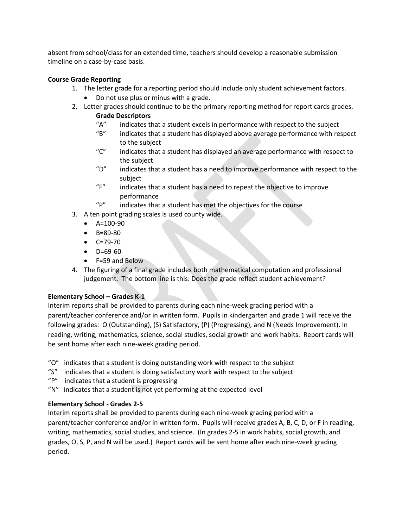absent from school/class for an extended time, teachers should develop a reasonable submission timeline on a case-by-case basis.

# **Course Grade Reporting**

- 1. The letter grade for a reporting period should include only student achievement factors. • Do not use plus or minus with a grade.
- 2. Letter grades should continue to be the primary reporting method for report cards grades. **Grade Descriptors**
	- "A" indicates that a student excels in performance with respect to the subject
	- "B" indicates that a student has displayed above average performance with respect to the subject
	- "C" indicates that a student has displayed an average performance with respect to the subject
	- " $D''$  indicates that a student has a need to improve performance with respect to the subject
	- "F" indicates that a student has a need to repeat the objective to improve performance
	- "P" indicates that a student has met the objectives for the course
- 3. A ten point grading scales is used county wide.
	- $\bullet$  A=100-90
	- B=89-80
	- C=79-70
	- D=69-60
	- F=59 and Below
- 4. The figuring of a final grade includes both mathematical computation and professional judgement. The bottom line is this: Does the grade reflect student achievement?

# **Elementary School – Grades K-1**

Interim reports shall be provided to parents during each nine-week grading period with a parent/teacher conference and/or in written form. Pupils in kindergarten and grade 1 will receive the following grades: O (Outstanding), (S) Satisfactory, (P) (Progressing), and N (Needs Improvement). In reading, writing, mathematics, science, social studies, social growth and work habits. Report cards will be sent home after each nine-week grading period.

- "O" indicates that a student is doing outstanding work with respect to the subject
- "S" indicates that a student is doing satisfactory work with respect to the subject
- "P" indicates that a student is progressing
- "N" indicates that a student is not yet performing at the expected level

# **Elementary School - Grades 2-5**

Interim reports shall be provided to parents during each nine-week grading period with a parent/teacher conference and/or in written form. Pupils will receive grades A, B, C, D, or F in reading, writing, mathematics, social studies, and science. (In grades 2-5 in work habits, social growth, and grades, O, S, P, and N will be used.) Report cards will be sent home after each nine-week grading period.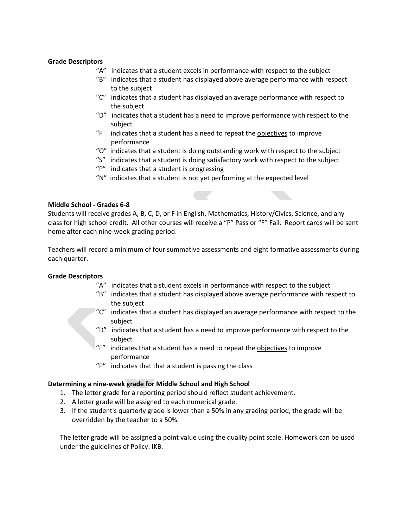## **Grade Descriptors**

- "A" indicates that a student excels in performance with respect to the subject
- "B" indicates that a student has displayed above average performance with respect to the subject
- "C" indicates that a student has displayed an average performance with respect to the subject
- " $D$ " indicates that a student has a need to improve performance with respect to the subject
- "F indicates that a student has a need to repeat the objectives to improve performance
- "O" indicates that a student is doing outstanding work with respect to the subject
- "S" indicates that a student is doing satisfactory work with respect to the subject
- "P" indicates that a student is progressing
- "N" indicates that a student is not yet performing at the expected level

### **Middle School - Grades 6-8**

Students will receive grades A, B, C, D, or F in English, Mathematics, History/Civics, Science, and any class for high school credit. All other courses will receive a "P" Pass or "F" Fail. Report cards will be sent home after each nine-week grading period.

Teachers will record a minimum of four summative assessments and eight formative assessments during each quarter.

## **Grade Descriptors**

- "A" indicates that a student excels in performance with respect to the subject
- "B" indicates that a student has displayed above average performance with respect to the subject
- "C" indicates that a student has displayed an average performance with respect to the subject
- " $D$ " indicates that a student has a need to improve performance with respect to the subject
- "F" indicates that a student has a need to repeat the objectives to improve performance
- "P" indicates that that a student is passing the class

#### **Determining a nine-week grade for Middle School and High School**

- 1. The letter grade for a reporting period should reflect student achievement.
- 2. A letter grade will be assigned to each numerical grade.
- 3. If the student's quarterly grade is lower than a 50% in any grading period, the grade will be overridden by the teacher to a 50%.

The letter grade will be assigned a point value using the quality point scale. Homework can be used under the guidelines of Policy: IKB.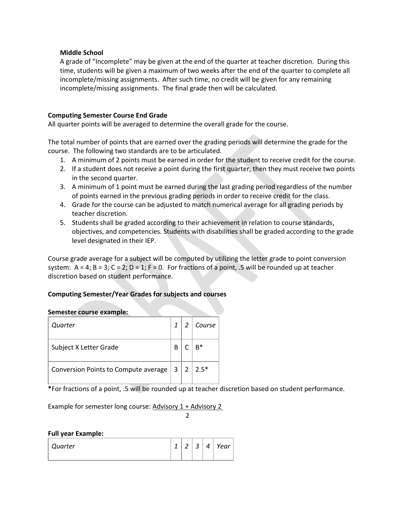## **Middle School**

A grade of "Incomplete" may be given at the end of the quarter at teacher discretion. During this time, students will be given a maximum of two weeks after the end of the quarter to complete all incomplete/missing assignments. After such time, no credit will be given for any remaining incomplete/missing assignments. The final grade then will be calculated.

## **Computing Semester Course End Grade**

All quarter points will be averaged to determine the overall grade for the course.

The total number of points that are earned over the grading periods will determine the grade for the course. The following two standards are to be articulated.

- 1. A minimum of 2 points must be earned in order for the student to receive credit for the course.
- 2. If a student does not receive a point during the first quarter, then they must receive two points in the second quarter.
- 3. A minimum of 1 point must be earned during the last grading period regardless of the number of points earned in the previous grading periods in order to receive credit for the class.
- 4. Grade for the course can be adjusted to match numerical average for all grading periods by teacher discretion.
- 5. Students shall be graded according to their achievement in relation to course standards, objectives, and competencies. Students with disabilities shall be graded according to the grade level designated in their IEP.

Course grade average for a subject will be computed by utilizing the letter grade to point conversion system:  $A = 4$ ;  $B = 3$ ;  $C = 2$ ;  $D = 1$ ;  $F = 0$ . For fractions of a point, .5 will be rounded up at teacher discretion based on student performance.

## **Computing Semester/Year Grades for subjects and courses**

#### **Semester course example:**

| Quarter                              |   | $\overline{\phantom{a}}$ | Course |
|--------------------------------------|---|--------------------------|--------|
| Subject X Letter Grade               | В |                          | B*     |
| Conversion Points to Compute average | 3 | $\overline{2}$           | $2.5*$ |

**\***For fractions of a point, .5 will be rounded up at teacher discretion based on student performance.

Example for semester long course: Advisory 1 + Advisory 2

2

#### **Full year Example:**

| Quarter | $\overline{f}$<br>- | $\overline{\phantom{0}}$<br>_ | h<br>ٮ | $\Delta$ | Year |
|---------|---------------------|-------------------------------|--------|----------|------|
|         |                     |                               |        |          |      |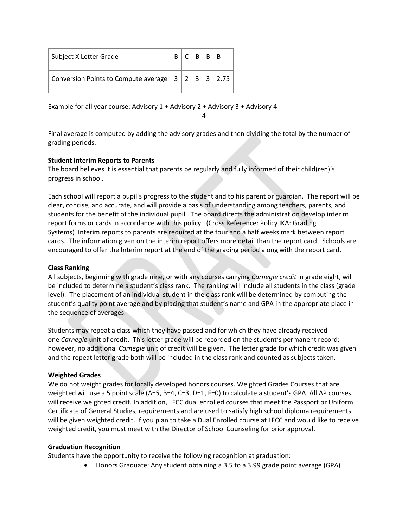| Subject X Letter Grade                      |  | R    | R |               |
|---------------------------------------------|--|------|---|---------------|
| Conversion Points to Compute average $ 3 2$ |  | ્ર પ |   | $3 \mid 2.75$ |

Example for all year course: Advisory 1 + Advisory 2 + Advisory 3 + Advisory 4 4

Final average is computed by adding the advisory grades and then dividing the total by the number of grading periods.

# **Student Interim Reports to Parents**

The board believes it is essential that parents be regularly and fully informed of their child(ren)'s progress in school.

Each school will report a pupil's progress to the student and to his parent or guardian. The report will be clear, concise, and accurate, and will provide a basis of understanding among teachers, parents, and students for the benefit of the individual pupil. The board directs the administration develop interim report forms or cards in accordance with this policy. (Cross Reference: Policy IKA: Grading Systems) Interim reports to parents are required at the four and a half weeks mark between report cards. The information given on the interim report offers more detail than the report card. Schools are encouraged to offer the Interim report at the end of the grading period along with the report card.

## **Class Ranking**

All subjects, beginning with grade nine, or with any courses carrying *Carnegie credit* in grade eight, will be included to determine a student's class rank. The ranking will include all students in the class (grade level). The placement of an individual student in the class rank will be determined by computing the student's quality point average and by placing that student's name and GPA in the appropriate place in the sequence of averages.

Students may repeat a class which they have passed and for which they have already received one *Carnegie* unit of credit. This letter grade will be recorded on the student's permanent record; however, no additional *Carnegie* unit of credit will be given. The letter grade for which credit was given and the repeat letter grade both will be included in the class rank and counted as subjects taken.

## **Weighted Grades**

We do not weight grades for locally developed honors courses. Weighted Grades Courses that are weighted will use a 5 point scale (A=5, B=4, C=3, D=1, F=0) to calculate a student's GPA. All AP courses will receive weighted credit. In addition, LFCC dual enrolled courses that meet the Passport or Uniform Certificate of General Studies, requirements and are used to satisfy high school diploma requirements will be given weighted credit. If you plan to take a Dual Enrolled course at LFCC and would like to receive weighted credit, you must meet with the Director of School Counseling for prior approval.

## **Graduation Recognition**

Students have the opportunity to receive the following recognition at graduation:

• Honors Graduate: Any student obtaining a 3.5 to a 3.99 grade point average (GPA)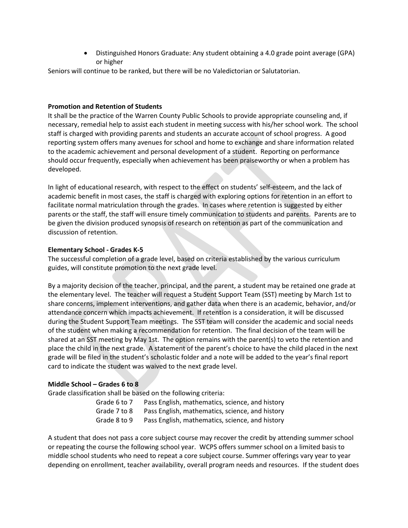• Distinguished Honors Graduate: Any student obtaining a 4.0 grade point average (GPA) or higher

Seniors will continue to be ranked, but there will be no Valedictorian or Salutatorian.

## **Promotion and Retention of Students**

It shall be the practice of the Warren County Public Schools to provide appropriate counseling and, if necessary, remedial help to assist each student in meeting success with his/her school work. The school staff is charged with providing parents and students an accurate account of school progress. A good reporting system offers many avenues for school and home to exchange and share information related to the academic achievement and personal development of a student. Reporting on performance should occur frequently, especially when achievement has been praiseworthy or when a problem has developed.

In light of educational research, with respect to the effect on students' self-esteem, and the lack of academic benefit in most cases, the staff is charged with exploring options for retention in an effort to facilitate normal matriculation through the grades. In cases where retention is suggested by either parents or the staff, the staff will ensure timely communication to students and parents. Parents are to be given the division produced synopsis of research on retention as part of the communication and discussion of retention.

# **Elementary School - Grades K-5**

The successful completion of a grade level, based on criteria established by the various curriculum guides, will constitute promotion to the next grade level.

By a majority decision of the teacher, principal, and the parent, a student may be retained one grade at the elementary level. The teacher will request a Student Support Team (SST) meeting by March 1st to share concerns, implement interventions, and gather data when there is an academic, behavior, and/or attendance concern which impacts achievement. If retention is a consideration, it will be discussed during the Student Support Team meetings. The SST team will consider the academic and social needs of the student when making a recommendation for retention. The final decision of the team will be shared at an SST meeting by May 1st. The option remains with the parent(s) to veto the retention and place the child in the next grade. A statement of the parent's choice to have the child placed in the next grade will be filed in the student's scholastic folder and a note will be added to the year's final report card to indicate the student was waived to the next grade level.

# **Middle School – Grades 6 to 8**

Grade classification shall be based on the following criteria:

| Grade 6 to 7 | Pass English, mathematics, science, and history |
|--------------|-------------------------------------------------|
| Grade 7 to 8 | Pass English, mathematics, science, and history |
| Grade 8 to 9 | Pass English, mathematics, science, and history |

A student that does not pass a core subject course may recover the credit by attending summer school or repeating the course the following school year. WCPS offers summer school on a limited basis to middle school students who need to repeat a core subject course. Summer offerings vary year to year depending on enrollment, teacher availability, overall program needs and resources. If the student does